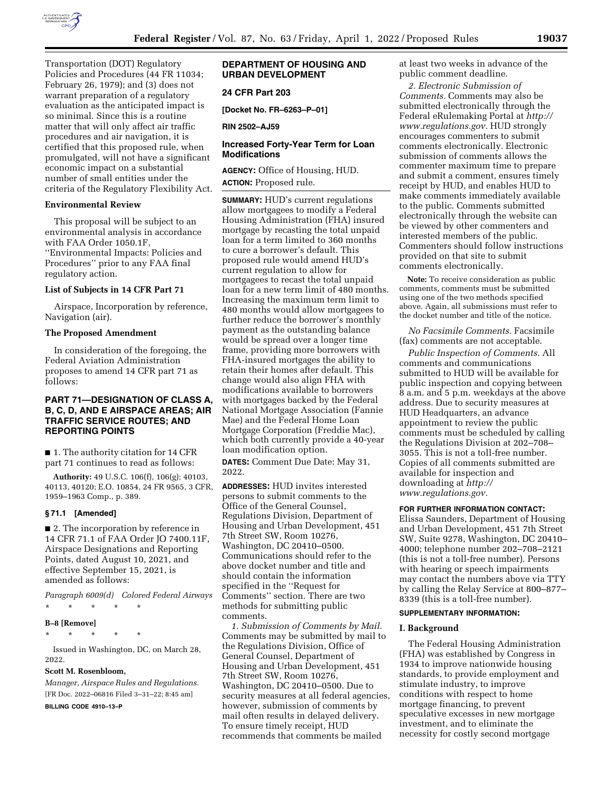

Transportation (DOT) Regulatory Policies and Procedures (44 FR 11034; February 26, 1979); and (3) does not warrant preparation of a regulatory evaluation as the anticipated impact is so minimal. Since this is a routine matter that will only affect air traffic procedures and air navigation, it is certified that this proposed rule, when promulgated, will not have a significant economic impact on a substantial number of small entities under the criteria of the Regulatory Flexibility Act.

#### **Environmental Review**

This proposal will be subject to an environmental analysis in accordance with FAA Order 1050.1F, ''Environmental Impacts: Policies and Procedures'' prior to any FAA final regulatory action.

## **List of Subjects in 14 CFR Part 71**

Airspace, Incorporation by reference, Navigation (air).

## **The Proposed Amendment**

In consideration of the foregoing, the Federal Aviation Administration proposes to amend 14 CFR part 71 as follows:

# **PART 71—DESIGNATION OF CLASS A, B, C, D, AND E AIRSPACE AREAS; AIR TRAFFIC SERVICE ROUTES; AND REPORTING POINTS**

■ 1. The authority citation for 14 CFR part 71 continues to read as follows:

**Authority:** 49 U.S.C. 106(f), 106(g); 40103, 40113, 40120; E.O. 10854, 24 FR 9565, 3 CFR, 1959–1963 Comp., p. 389.

#### **§ 71.1 [Amended]**

■ 2. The incorporation by reference in 14 CFR 71.1 of FAA Order JO 7400.11F, Airspace Designations and Reporting Points, dated August 10, 2021, and effective September 15, 2021, is amended as follows:

*Paragraph 6009(d) Colored Federal Airways*  \* \* \* \* \*

#### **B–8 [Remove]**

\* \* \* \* \*

Issued in Washington, DC, on March 28, 2022.

#### **Scott M. Rosenbloom,**

*Manager, Airspace Rules and Regulations.*  [FR Doc. 2022–06816 Filed 3–31–22; 8:45 am]

**BILLING CODE 4910–13–P** 

# **DEPARTMENT OF HOUSING AND URBAN DEVELOPMENT**

# **24 CFR Part 203**

**[Docket No. FR–6263–P–01]** 

**RIN 2502–AJ59** 

# **Increased Forty-Year Term for Loan Modifications**

**AGENCY:** Office of Housing, HUD. **ACTION:** Proposed rule.

**SUMMARY:** HUD's current regulations allow mortgagees to modify a Federal Housing Administration (FHA) insured mortgage by recasting the total unpaid loan for a term limited to 360 months to cure a borrower's default. This proposed rule would amend HUD's current regulation to allow for mortgagees to recast the total unpaid loan for a new term limit of 480 months. Increasing the maximum term limit to 480 months would allow mortgagees to further reduce the borrower's monthly payment as the outstanding balance would be spread over a longer time frame, providing more borrowers with FHA-insured mortgages the ability to retain their homes after default. This change would also align FHA with modifications available to borrowers with mortgages backed by the Federal National Mortgage Association (Fannie Mae) and the Federal Home Loan Mortgage Corporation (Freddie Mac), which both currently provide a 40-year loan modification option.

**DATES:** Comment Due Date: May 31, 2022.

**ADDRESSES:** HUD invites interested persons to submit comments to the Office of the General Counsel, Regulations Division, Department of Housing and Urban Development, 451 7th Street SW, Room 10276, Washington, DC 20410–0500. Communications should refer to the above docket number and title and should contain the information specified in the ''Request for Comments'' section. There are two methods for submitting public comments.

*1. Submission of Comments by Mail.*  Comments may be submitted by mail to the Regulations Division, Office of General Counsel, Department of Housing and Urban Development, 451 7th Street SW, Room 10276, Washington, DC 20410–0500. Due to security measures at all federal agencies, however, submission of comments by mail often results in delayed delivery. To ensure timely receipt, HUD recommends that comments be mailed

at least two weeks in advance of the public comment deadline.

*2. Electronic Submission of Comments.* Comments may also be submitted electronically through the Federal eRulemaking Portal at *[http://](http://www.regulations.gov) [www.regulations.gov.](http://www.regulations.gov)* HUD strongly encourages commenters to submit comments electronically. Electronic submission of comments allows the commenter maximum time to prepare and submit a comment, ensures timely receipt by HUD, and enables HUD to make comments immediately available to the public. Comments submitted electronically through the website can be viewed by other commenters and interested members of the public. Commenters should follow instructions provided on that site to submit comments electronically.

**Note:** To receive consideration as public comments, comments must be submitted using one of the two methods specified above. Again, all submissions must refer to the docket number and title of the notice.

*No Facsimile Comments.* Facsimile (fax) comments are not acceptable.

*Public Inspection of Comments.* All comments and communications submitted to HUD will be available for public inspection and copying between 8 a.m. and 5 p.m. weekdays at the above address. Due to security measures at HUD Headquarters, an advance appointment to review the public comments must be scheduled by calling the Regulations Division at 202–708– 3055. This is not a toll-free number. Copies of all comments submitted are available for inspection and downloading at *[http://](http://www.regulations.gov) [www.regulations.gov.](http://www.regulations.gov)* 

#### **FOR FURTHER INFORMATION CONTACT:**

Elissa Saunders, Department of Housing and Urban Development, 451 7th Street SW, Suite 9278, Washington, DC 20410– 4000; telephone number 202–708–2121 (this is not a toll-free number). Persons with hearing or speech impairments may contact the numbers above via TTY by calling the Relay Service at 800–877– 8339 (this is a toll-free number).

#### **SUPPLEMENTARY INFORMATION:**

#### **I. Background**

The Federal Housing Administration (FHA) was established by Congress in 1934 to improve nationwide housing standards, to provide employment and stimulate industry, to improve conditions with respect to home mortgage financing, to prevent speculative excesses in new mortgage investment, and to eliminate the necessity for costly second mortgage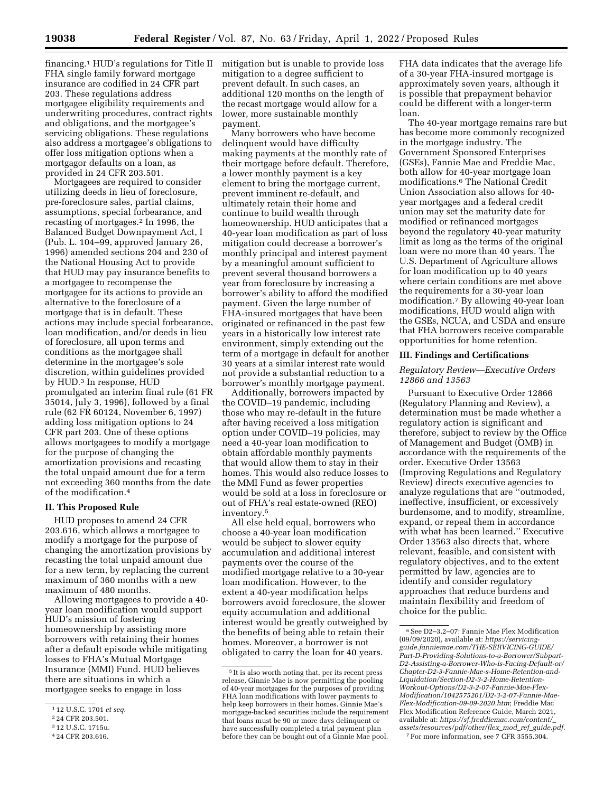financing.1 HUD's regulations for Title II FHA single family forward mortgage insurance are codified in 24 CFR part 203. These regulations address mortgagee eligibility requirements and underwriting procedures, contract rights and obligations, and the mortgagee's servicing obligations. These regulations also address a mortgagee's obligations to offer loss mitigation options when a mortgagor defaults on a loan, as provided in 24 CFR 203.501.

Mortgagees are required to consider utilizing deeds in lieu of foreclosure, pre-foreclosure sales, partial claims, assumptions, special forbearance, and recasting of mortgages.2 In 1996, the Balanced Budget Downpayment Act, I (Pub. L. 104–99, approved January 26, 1996) amended sections 204 and 230 of the National Housing Act to provide that HUD may pay insurance benefits to a mortgagee to recompense the mortgagee for its actions to provide an alternative to the foreclosure of a mortgage that is in default. These actions may include special forbearance, loan modification, and/or deeds in lieu of foreclosure, all upon terms and conditions as the mortgagee shall determine in the mortgagee's sole discretion, within guidelines provided by HUD.3 In response, HUD promulgated an interim final rule (61 FR 35014, July 3, 1996), followed by a final rule (62 FR 60124, November 6, 1997) adding loss mitigation options to 24 CFR part 203. One of these options allows mortgagees to modify a mortgage for the purpose of changing the amortization provisions and recasting the total unpaid amount due for a term not exceeding 360 months from the date of the modification.4

## **II. This Proposed Rule**

HUD proposes to amend 24 CFR 203.616, which allows a mortgagee to modify a mortgage for the purpose of changing the amortization provisions by recasting the total unpaid amount due for a new term, by replacing the current maximum of 360 months with a new maximum of 480 months.

Allowing mortgagees to provide a 40 year loan modification would support HUD's mission of fostering homeownership by assisting more borrowers with retaining their homes after a default episode while mitigating losses to FHA's Mutual Mortgage Insurance (MMI) Fund. HUD believes there are situations in which a mortgagee seeks to engage in loss

mitigation but is unable to provide loss mitigation to a degree sufficient to prevent default. In such cases, an additional 120 months on the length of the recast mortgage would allow for a lower, more sustainable monthly payment.

Many borrowers who have become delinquent would have difficulty making payments at the monthly rate of their mortgage before default. Therefore, a lower monthly payment is a key element to bring the mortgage current, prevent imminent re-default, and ultimately retain their home and continue to build wealth through homeownership. HUD anticipates that a 40-year loan modification as part of loss mitigation could decrease a borrower's monthly principal and interest payment by a meaningful amount sufficient to prevent several thousand borrowers a year from foreclosure by increasing a borrower's ability to afford the modified payment. Given the large number of FHA-insured mortgages that have been originated or refinanced in the past few years in a historically low interest rate environment, simply extending out the term of a mortgage in default for another 30 years at a similar interest rate would not provide a substantial reduction to a borrower's monthly mortgage payment.

Additionally, borrowers impacted by the COVID–19 pandemic, including those who may re-default in the future after having received a loss mitigation option under COVID–19 policies, may need a 40-year loan modification to obtain affordable monthly payments that would allow them to stay in their homes. This would also reduce losses to the MMI Fund as fewer properties would be sold at a loss in foreclosure or out of FHA's real estate-owned (REO) inventory.5

All else held equal, borrowers who choose a 40-year loan modification would be subject to slower equity accumulation and additional interest payments over the course of the modified mortgage relative to a 30-year loan modification. However, to the extent a 40-year modification helps borrowers avoid foreclosure, the slower equity accumulation and additional interest would be greatly outweighed by the benefits of being able to retain their homes. Moreover, a borrower is not obligated to carry the loan for 40 years.

FHA data indicates that the average life of a 30-year FHA-insured mortgage is approximately seven years, although it is possible that prepayment behavior could be different with a longer-term loan.

The 40-year mortgage remains rare but has become more commonly recognized in the mortgage industry. The Government Sponsored Enterprises (GSEs), Fannie Mae and Freddie Mac, both allow for 40-year mortgage loan modifications.6 The National Credit Union Association also allows for 40 year mortgages and a federal credit union may set the maturity date for modified or refinanced mortgages beyond the regulatory 40-year maturity limit as long as the terms of the original loan were no more than 40 years. The U.S. Department of Agriculture allows for loan modification up to 40 years where certain conditions are met above the requirements for a 30-year loan modification.7 By allowing 40-year loan modifications, HUD would align with the GSEs, NCUA, and USDA and ensure that FHA borrowers receive comparable opportunities for home retention.

#### **III. Findings and Certifications**

# *Regulatory Review—Executive Orders 12866 and 13563*

Pursuant to Executive Order 12866 (Regulatory Planning and Review), a determination must be made whether a regulatory action is significant and therefore, subject to review by the Office of Management and Budget (OMB) in accordance with the requirements of the order. Executive Order 13563 (Improving Regulations and Regulatory Review) directs executive agencies to analyze regulations that are ''outmoded, ineffective, insufficient, or excessively burdensome, and to modify, streamline, expand, or repeal them in accordance with what has been learned.'' Executive Order 13563 also directs that, where relevant, feasible, and consistent with regulatory objectives, and to the extent permitted by law, agencies are to identify and consider regulatory approaches that reduce burdens and maintain flexibility and freedom of choice for the public.

7For more information, see 7 CFR 3555.304.

<sup>1</sup> 12 U.S.C. 1701 *et seq.* 

<sup>2</sup> 24 CFR 203.501.

<sup>3</sup> 12 U.S.C. 1715u.

<sup>4</sup> 24 CFR 203.616.

<sup>5</sup> It is also worth noting that, per its recent press release, Ginnie Mae is now permitting the pooling of 40-year mortgages for the purposes of providing FHA loan modifications with lower payments to help keep borrowers in their homes. Ginnie Mae's mortgage-backed securities include the requirement that loans must be 90 or more days delinquent or have successfully completed a trial payment plan before they can be bought out of a Ginnie Mae pool.

<sup>6</sup>See D2–3.2–07: Fannie Mae Flex Modification (09/09/2020), available at: *[https://servicing](https://servicingguide.fanniemae.com/THE-SERVICING-GUIDE/Part-D-Providing-Solutions-to-a-Borrower/Subpart-D2-Assisting-a-Borrower-Who-is-Facing-Default-or/Chapter-D2-3-Fannie-Mae-s-Home-Retention-and-Liquidation/Section-D2-3-2-Home-Retention-Workout-Options/D2-3-2-07-Fannie-Mae-Flex-Modification/1042575201/D2-3-2-07-Fannie-Mae-Flex-Modification-09-09-2020.htm)[guide.fanniemae.com/THE-SERVICING-GUIDE/](https://servicingguide.fanniemae.com/THE-SERVICING-GUIDE/Part-D-Providing-Solutions-to-a-Borrower/Subpart-D2-Assisting-a-Borrower-Who-is-Facing-Default-or/Chapter-D2-3-Fannie-Mae-s-Home-Retention-and-Liquidation/Section-D2-3-2-Home-Retention-Workout-Options/D2-3-2-07-Fannie-Mae-Flex-Modification/1042575201/D2-3-2-07-Fannie-Mae-Flex-Modification-09-09-2020.htm)  [Part-D-Providing-Solutions-to-a-Borrower/Subpart-](https://servicingguide.fanniemae.com/THE-SERVICING-GUIDE/Part-D-Providing-Solutions-to-a-Borrower/Subpart-D2-Assisting-a-Borrower-Who-is-Facing-Default-or/Chapter-D2-3-Fannie-Mae-s-Home-Retention-and-Liquidation/Section-D2-3-2-Home-Retention-Workout-Options/D2-3-2-07-Fannie-Mae-Flex-Modification/1042575201/D2-3-2-07-Fannie-Mae-Flex-Modification-09-09-2020.htm)[D2-Assisting-a-Borrower-Who-is-Facing-Default-or/](https://servicingguide.fanniemae.com/THE-SERVICING-GUIDE/Part-D-Providing-Solutions-to-a-Borrower/Subpart-D2-Assisting-a-Borrower-Who-is-Facing-Default-or/Chapter-D2-3-Fannie-Mae-s-Home-Retention-and-Liquidation/Section-D2-3-2-Home-Retention-Workout-Options/D2-3-2-07-Fannie-Mae-Flex-Modification/1042575201/D2-3-2-07-Fannie-Mae-Flex-Modification-09-09-2020.htm)  [Chapter-D2-3-Fannie-Mae-s-Home-Retention-and-](https://servicingguide.fanniemae.com/THE-SERVICING-GUIDE/Part-D-Providing-Solutions-to-a-Borrower/Subpart-D2-Assisting-a-Borrower-Who-is-Facing-Default-or/Chapter-D2-3-Fannie-Mae-s-Home-Retention-and-Liquidation/Section-D2-3-2-Home-Retention-Workout-Options/D2-3-2-07-Fannie-Mae-Flex-Modification/1042575201/D2-3-2-07-Fannie-Mae-Flex-Modification-09-09-2020.htm)[Liquidation/Section-D2-3-2-Home-Retention-](https://servicingguide.fanniemae.com/THE-SERVICING-GUIDE/Part-D-Providing-Solutions-to-a-Borrower/Subpart-D2-Assisting-a-Borrower-Who-is-Facing-Default-or/Chapter-D2-3-Fannie-Mae-s-Home-Retention-and-Liquidation/Section-D2-3-2-Home-Retention-Workout-Options/D2-3-2-07-Fannie-Mae-Flex-Modification/1042575201/D2-3-2-07-Fannie-Mae-Flex-Modification-09-09-2020.htm)[Workout-Options/D2-3-2-07-Fannie-Mae-Flex-](https://servicingguide.fanniemae.com/THE-SERVICING-GUIDE/Part-D-Providing-Solutions-to-a-Borrower/Subpart-D2-Assisting-a-Borrower-Who-is-Facing-Default-or/Chapter-D2-3-Fannie-Mae-s-Home-Retention-and-Liquidation/Section-D2-3-2-Home-Retention-Workout-Options/D2-3-2-07-Fannie-Mae-Flex-Modification/1042575201/D2-3-2-07-Fannie-Mae-Flex-Modification-09-09-2020.htm)[Modification/1042575201/D2-3-2-07-Fannie-Mae-](https://servicingguide.fanniemae.com/THE-SERVICING-GUIDE/Part-D-Providing-Solutions-to-a-Borrower/Subpart-D2-Assisting-a-Borrower-Who-is-Facing-Default-or/Chapter-D2-3-Fannie-Mae-s-Home-Retention-and-Liquidation/Section-D2-3-2-Home-Retention-Workout-Options/D2-3-2-07-Fannie-Mae-Flex-Modification/1042575201/D2-3-2-07-Fannie-Mae-Flex-Modification-09-09-2020.htm)[Flex-Modification-09-09-2020.htm](https://servicingguide.fanniemae.com/THE-SERVICING-GUIDE/Part-D-Providing-Solutions-to-a-Borrower/Subpart-D2-Assisting-a-Borrower-Who-is-Facing-Default-or/Chapter-D2-3-Fannie-Mae-s-Home-Retention-and-Liquidation/Section-D2-3-2-Home-Retention-Workout-Options/D2-3-2-07-Fannie-Mae-Flex-Modification/1042575201/D2-3-2-07-Fannie-Mae-Flex-Modification-09-09-2020.htm)*; Freddie Mac Flex Modification Reference Guide, March 2021, available at: *[https://sf.freddiemac.com/content/](https://sf.freddiemac.com/content/_assets/resources/pdf/other/flex_mod_ref_guide.pdf)*\_ *[assets/resources/pdf/other/flex](https://sf.freddiemac.com/content/_assets/resources/pdf/other/flex_mod_ref_guide.pdf)*\_*mod*\_*ref*\_*guide.pdf.*